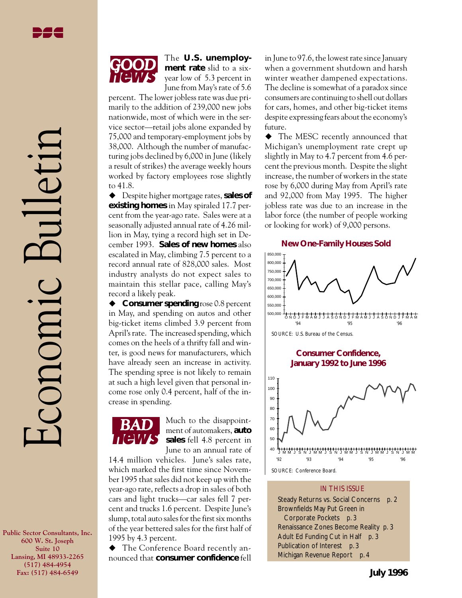Economic Bulletin

conomic

The **U.S. unemployment rate** slid to a sixyear low of 5.3 percent in June from May's rate of 5.6

percent. The lower jobless rate was due primarily to the addition of 239,000 new jobs nationwide, most of which were in the service sector—retail jobs alone expanded by 75,000 and temporary-employment jobs by 38,000. Although the number of manufacturing jobs declined by 6,000 in June (likely a result of strikes) the average weekly hours worked by factory employees rose slightly to 41.8.

◆ Despite higher mortgage rates, **sales of existing homes** in May spiraled 17.7 percent from the year-ago rate. Sales were at a seasonally adjusted annual rate of 4.26 million in May, tying a record high set in December 1993. **Sales of new homes** also escalated in May, climbing 7.5 percent to a record annual rate of 828,000 sales. Most industry analysts do not expect sales to maintain this stellar pace, calling May's record a likely peak.

◆ **Consumer spending** rose 0.8 percent in May, and spending on autos and other big-ticket items climbed 3.9 percent from April's rate. The increased spending, which comes on the heels of a thrifty fall and winter, is good news for manufacturers, which have already seen an increase in activity. The spending spree is not likely to remain at such a high level given that personal income rose only 0.4 percent, half of the increase in spending.



Much to the disappointment of automakers, **auto sales** fell 4.8 percent in June to an annual rate of

14.4 million vehicles. June's sales rate, which marked the first time since November 1995 that sales did not keep up with the year-ago rate, reflects a drop in sales of both cars and light trucks—car sales fell 7 percent and trucks 1.6 percent. Despite June's slump, total auto sales for the first six months of the year bettered sales for the first half of 1995 by 4.3 percent.

◆ The Conference Board recently announced that **consumer confidence** fell in June to 97.6, the lowest rate since January when a government shutdown and harsh winter weather dampened expectations. The decline is somewhat of a paradox since consumers are continuing to shell out dollars for cars, homes, and other big-ticket items despite expressing fears about the economy's future.

• The MESC recently announced that Michigan's unemployment rate crept up slightly in May to 4.7 percent from 4.6 percent the previous month. Despite the slight increase, the number of workers in the state rose by 6,000 during May from April's rate and 92,000 from May 1995. The higher jobless rate was due to an increase in the labor force (the number of people working or looking for work) of 9,000 persons.



IN THIS ISSUE

Steady Returns vs. Social Concerns *p. 2* Brownfields May Put Green in Corporate Pockets *p. 3* Renaissance Zones Become Reality *p. 3* Adult Ed Funding Cut in Half *p. 3* Publication of Interest *p. 3* Michigan Revenue Report *p. 4*

**Public Sector Consultants, Inc. 600 W. St. Joseph Suite 10 Lansing, MI 48933-2265 (517) 484-4954 Fax: (517) 484-6549**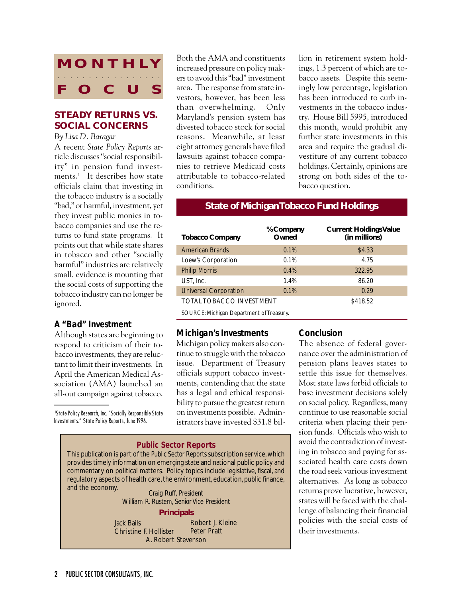

# **STEADY RETURNS VS. SOCIAL CONCERNS**

*By Lisa D. Baragar*

A recent *State Policy Reports* article discusses "social responsibility" in pension fund investments.<sup>1</sup> It describes how state officials claim that investing in the tobacco industry is a socially "bad," or harmful, investment, yet they invest public monies in tobacco companies and use the returns to fund state programs. It points out that while state shares in tobacco and other "socially harmful" industries are relatively small, evidence is mounting that the social costs of supporting the tobacco industry can no longer be ignored.

## *A "Bad" Investment*

Although states are beginning to respond to criticism of their tobacco investments, they are reluctant to limit their investments. In April the American Medical Association (AMA) launched an all-out campaign against tobacco.

1 State Policy Research, Inc. "Socially Responsible State Investments." State Policy Reports, June 1996.

Both the AMA and constituents increased pressure on policy makers to avoid this "bad" investment area. The response from state investors, however, has been less than overwhelming. Only Maryland's pension system has divested tobacco stock for social reasons. Meanwhile, at least eight attorney generals have filed lawsuits against tobacco companies to retrieve Medicaid costs attributable to tobacco-related conditions.

lion in retirement system holdings, 1.3 percent of which are tobacco assets. Despite this seemingly low percentage, legislation has been introduced to curb investments in the tobacco industry. House Bill 5995, introduced this month, would prohibit any further state investments in this area and require the gradual divestiture of any current tobacco holdings. Certainly, opinions are strong on both sides of the tobacco question.

### **State of Michigan Tobacco Fund Holdings**

| <b>Tobacco Company</b>                   | % Company<br>Owned | <b>Current Holdings Value</b><br>(in millions) |  |
|------------------------------------------|--------------------|------------------------------------------------|--|
| <b>American Brands</b>                   | 0.1%               | \$4.33                                         |  |
| Loew's Corporation                       | 0.1%               | 4.75                                           |  |
| <b>Philip Morris</b>                     | 0.4%               | 322.95                                         |  |
| UST, Inc.                                | 1.4%               | 86.20                                          |  |
| <b>Universal Corporation</b>             | 0.1%               | 0.29                                           |  |
| <b>TOTAL TOBACCO INVESTMENT</b>          |                    | \$418.52                                       |  |
| SOURCE: Michigan Department of Treasury. |                    |                                                |  |

#### *Michigan's Investments*

Michigan policy makers also continue to struggle with the tobacco issue. Department of Treasury officials support tobacco investments, contending that the state has a legal and ethical responsibility to pursue the greatest return on investments possible. Administrators have invested \$31.8 bil-

## *Public Sector Reports* This publication is part of the *Public Sector Reports* subscription service, which provides timely information on emerging state and national public policy and commentary on political matters. Policy topics include legislative, fiscal, and regulatory aspects of health care, the environment, education, public finance,

**Craig Ruff, President** *William R. Rustem, Senior Vice President*

#### **Principals**

Jack Bails Christine F. Hollister A. Robert Stevenson

Robert J. Kleine Peter Pratt

#### *Conclusion*

The absence of federal governance over the administration of pension plans leaves states to settle this issue for themselves. Most state laws forbid officials to base investment decisions solely on social policy. Regardless, many continue to use reasonable social criteria when placing their pension funds. Officials who wish to avoid the contradiction of investing in tobacco and paying for associated health care costs down the road seek various investment alternatives. As long as tobacco returns prove lucrative, however, states will be faced with the challenge of balancing their financial policies with the social costs of their investments.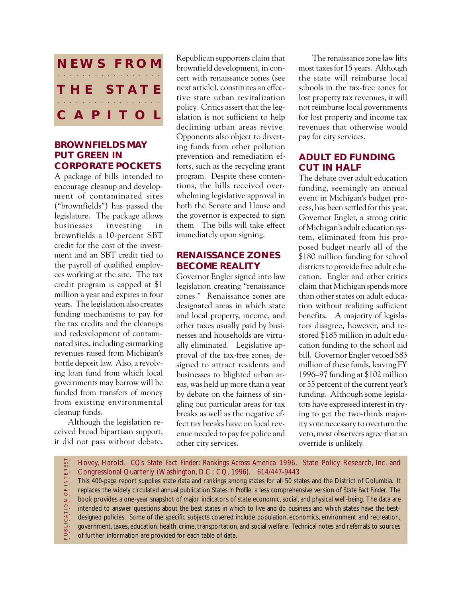

## **BROWNFIELDS MAY PUT GREEN IN CORPORATE POCKETS**

A package of bills intended to encourage cleanup and development of contaminated sites ("brownfields") has passed the legislature. The package allows businesses investing in brownfields a 10-percent SBT credit for the cost of the investment and an SBT credit tied to the payroll of qualified employees working at the site. The tax credit program is capped at \$1 million a year and expires in four years. The legislation also creates funding mechanisms to pay for the tax credits and the cleanups and redevelopment of contaminated sites, including earmarking revenues raised from Michigan's bottle deposit law. Also, a revolving loan fund from which local governments may borrow will be funded from transfers of money from existing environmental cleanup funds.

Although the legislation received broad bipartisan support, it did not pass without debate.

Republican supporters claim that brownfield development, in concert with renaissance zones (see next article), constitutes an effective state urban revitalization policy. Critics assert that the legislation is not sufficient to help declining urban areas revive. Opponents also object to diverting funds from other pollution prevention and remediation efforts, such as the recycling grant program. Despite these contentions, the bills received overwhelming legislative approval in both the Senate and House and the governor is expected to sign them. The bills will take effect immediately upon signing.

## **RENAISSANCE ZONES BECOME REALITY**

Governor Engler signed into law legislation creating "renaissance zones." Renaissance zones are designated areas in which state and local property, income, and other taxes usually paid by businesses and households are virtually eliminated. Legislative approval of the tax-free zones, designed to attract residents and businesses to blighted urban areas, was held up more than a year by debate on the fairness of singling out particular areas for tax breaks as well as the negative effect tax breaks have on local revenue needed to pay for police and other city services.

The renaissance zone law lifts most taxes for 15 years. Although the state will reimburse local schools in the tax-free zones for lost property tax revenues, it will not reimburse local governments for lost property and income tax revenues that otherwise would pay for city services.

# **ADULT ED FUNDING CUT IN HALF**

The debate over adult education funding, seemingly an annual event in Michigan's budget process, has been settled for this year. Governor Engler, a strong critic of Michigan's adult education system, eliminated from his proposed budget nearly all of the \$180 million funding for school districts to provide free adult education. Engler and other critics claim that Michigan spends more than other states on adult education without realizing sufficient benefits. A majority of legislators disagree, however, and restored \$185 million in adult education funding to the school aid bill. Governor Engler vetoed \$83 million of these funds, leaving FY 1996–97 funding at \$102 million or 55 percent of the current year's funding. Although some legislators have expressed interest in trying to get the two-thirds majority vote necessary to overturn the veto, most observers agree that an override is unlikely.

PUBLICATION OF INTEREST Hovey, Harold. *CQ's State Fact Finder: Rankings Across America 1996.* State Policy Research, Inc. and P U B L I C A T I O N O F I N T E R E S T aaaaaaaaa aaaaa Congressional Quarterly (Washington, D.C.: CQ, 1996). 614/447-9443 This 400-page report supplies state data and rankings among states for all 50 states and the District of Columbia. It replaces the widely circulated annual publication *States in Profile,* a less comprehensive version of *State Fact Finder*. The book provides a one-year snapshot of major indicators of state economic, social, and physical well-being. The data are intended to answer questions about the best states in which to live and do business and which states have the bestdesigned policies. Some of the specific subjects covered include population, economics, environment and recreation, government, taxes, education, health, crime, transportation, and social welfare. Technical notes and referrals to sources of further information are provided for each table of data.